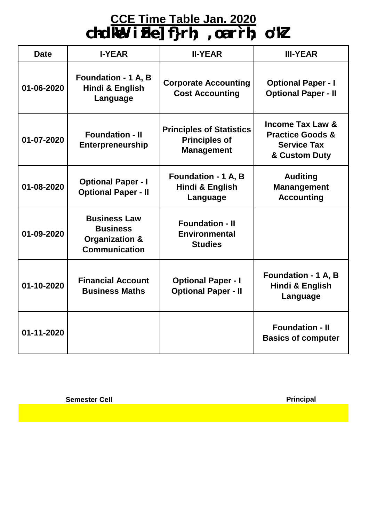## **CCE Time Table Jan. 2020**

**ch-dkWe- izFke] f}rh; ,oa r`rh; o"kZ**

| <b>Date</b> | <b>I-YEAR</b>                                                                               | <b>II-YEAR</b>                                                               | <b>III-YEAR</b>                                                                                   |
|-------------|---------------------------------------------------------------------------------------------|------------------------------------------------------------------------------|---------------------------------------------------------------------------------------------------|
| 01-06-2020  | <b>Foundation - 1 A, B</b><br><b>Hindi &amp; English</b><br>Language                        | <b>Corporate Accounting</b><br><b>Cost Accounting</b>                        | <b>Optional Paper - I</b><br><b>Optional Paper - II</b>                                           |
| 01-07-2020  | <b>Foundation - II</b><br><b>Enterpreneurship</b>                                           | <b>Principles of Statistics</b><br><b>Principles of</b><br><b>Management</b> | <b>Income Tax Law &amp;</b><br><b>Practice Goods &amp;</b><br><b>Service Tax</b><br>& Custom Duty |
| 01-08-2020  | <b>Optional Paper - I</b><br><b>Optional Paper - II</b>                                     | <b>Foundation - 1 A, B</b><br>Hindi & English<br>Language                    | <b>Auditing</b><br><b>Manangement</b><br><b>Accounting</b>                                        |
| 01-09-2020  | <b>Business Law</b><br><b>Business</b><br><b>Organization &amp;</b><br><b>Communication</b> | <b>Foundation - II</b><br><b>Environmental</b><br><b>Studies</b>             |                                                                                                   |
| 01-10-2020  | <b>Financial Account</b><br><b>Business Maths</b>                                           | <b>Optional Paper - I</b><br><b>Optional Paper - II</b>                      | <b>Foundation - 1 A, B</b><br>Hindi & English<br>Language                                         |
| 01-11-2020  |                                                                                             |                                                                              | <b>Foundation - II</b><br><b>Basics of computer</b>                                               |

**Semester Cell**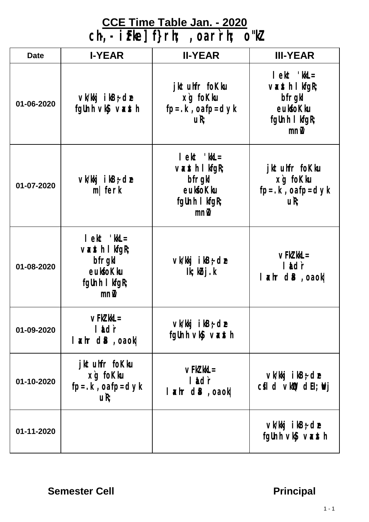#### **CCE Time Table Jan. - 2020**

**ch-,- izFke] f}rh; ,oa r`rh; o"kZ**

| <b>Date</b> | <b>I-YEAR</b>                                                                                                                                                                                                                                                                                                                                                                                                                                             | <b>II-YEAR</b>                                                                                     | <b>III-YEAR</b>                                                                        |
|-------------|-----------------------------------------------------------------------------------------------------------------------------------------------------------------------------------------------------------------------------------------------------------------------------------------------------------------------------------------------------------------------------------------------------------------------------------------------------------|----------------------------------------------------------------------------------------------------|----------------------------------------------------------------------------------------|
| 01-06-2020  | $\vee$ k/kkj i kB $\div$ de<br>fgUnh vký vaxth                                                                                                                                                                                                                                                                                                                                                                                                            | jktuhfr foKku<br>xg fokku<br>$fp = k$ , oa $fp = dyk$<br>uR;                                       | $let$ ' $kL =$<br>$\vee$ xsth I kfgR;<br>bfrgkl<br>eukfoKku<br>fgUnh I kfgR;<br>$m\nu$ |
| 01-07-2020  | $\vee$ k/kkj ikB $\div$ de<br>$m$   ferk                                                                                                                                                                                                                                                                                                                                                                                                                  | $let$ ' $kL =$<br>$\forall x$ sth I kfgR;<br>bfrgkl<br>eukfoKku<br>fgUnh I kfgR;<br>$mn\mathbf{i}$ | jktuhfr foKku<br>xg foKku<br>$fp = k$ , oa $fp = dyk$<br>uR;                           |
| 01-08-2020  | $let$ ' $kL =$<br>$\vee$ $\ltimes$ $\ltimes$ $\ltimes$ $\ltimes$ $\ltimes$ $\ltimes$ $\ltimes$ $\ltimes$ $\ltimes$ $\ltimes$ $\ltimes$ $\ltimes$ $\ltimes$ $\ltimes$ $\ltimes$ $\ltimes$ $\ltimes$ $\ltimes$ $\ltimes$ $\ltimes$ $\ltimes$ $\ltimes$ $\ltimes$ $\ltimes$ $\ltimes$ $\ltimes$ $\ltimes$ $\ltimes$ $\ltimes$ $\ltimes$ $\ltimes$ $\ltimes$ $\ltimes$ $\ltimes$ $\ltimes$ $\ltimes$<br>bfrgkl<br>eukfoKku<br>fgUnh I kfgR;<br>$mn\mathbf{I}$ | $\vee$ k/kkj ikB $\div$ de<br>$lk; k$ bj.k                                                         | $\vee$ FkZ kkL $=$<br>lildir<br>$\lfloor x \text{ hr} \text{ dB}$ , oa ok              |
| 01-09-2020  | $\vee$ FkZ kkL $=$<br>lidr<br>$l$ $\alpha$ hr d $B$ , oa ok                                                                                                                                                                                                                                                                                                                                                                                               | $\vee$ k/kkj i kB $\div$ de<br>fgUnh vký vasth                                                     |                                                                                        |
| 01-10-2020  | jktuhfr foKku<br>xg foKku<br>$fp = k$ , or $fp = dyk$<br>uR;                                                                                                                                                                                                                                                                                                                                                                                              | $\vee$ Fk $\ell$ kkL $=$<br>lidr<br>$ \star$ hr d $B$ , o $\circ$ ok                               | $\vee$ k/kkj i kB $\div$ de<br>$cfI d$ vkll $D$ dEI; $WI$                              |
| 01-11-2020  |                                                                                                                                                                                                                                                                                                                                                                                                                                                           |                                                                                                    | $\vee$ k/kkj i kB $\div$ de<br>fgUnh $\vee$ ký $\vee \times$ sth                       |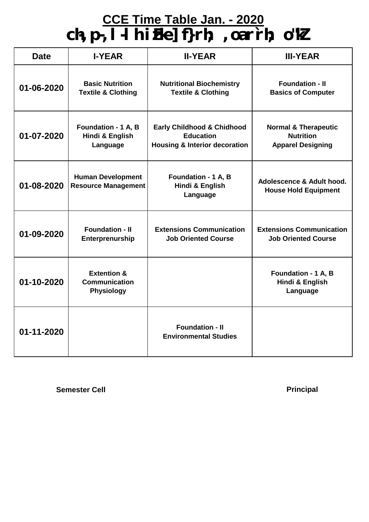## **CCE Time Table Jan. - 2020 ch-,p-,l-lh izFke] f}rh; ,oa r`rh; o"kZ**

| <b>Date</b>                                                      | <b>I-YEAR</b>                                                       | <b>II-YEAR</b>                                                                                        | <b>III-YEAR</b>                                                                 |
|------------------------------------------------------------------|---------------------------------------------------------------------|-------------------------------------------------------------------------------------------------------|---------------------------------------------------------------------------------|
| 01-06-2020                                                       | <b>Basic Nutrition</b><br><b>Textile &amp; Clothing</b>             | <b>Nutritional Biochemistry</b><br><b>Textile &amp; Clothing</b>                                      | <b>Foundation - II</b><br><b>Basics of Computer</b>                             |
| Foundation - 1 A, B<br>01-07-2020<br>Hindi & English<br>Language |                                                                     | <b>Early Childhood &amp; Chidhood</b><br><b>Education</b><br><b>Housing &amp; Interior decoration</b> | <b>Normal &amp; Therapeutic</b><br><b>Nutrition</b><br><b>Apparel Designing</b> |
| 01-08-2020                                                       | <b>Human Development</b><br><b>Resource Management</b>              | Foundation - 1 A, B<br>Hindi & English<br>Language                                                    | Adolescence & Adult hood.<br><b>House Hold Equipment</b>                        |
| 01-09-2020                                                       | <b>Foundation - II</b><br>Enterprenurship                           | <b>Extensions Communication</b><br><b>Job Oriented Course</b>                                         | <b>Extensions Communication</b><br><b>Job Oriented Course</b>                   |
| 01-10-2020                                                       | <b>Extention &amp;</b><br><b>Communication</b><br><b>Physiology</b> |                                                                                                       | Foundation - 1 A, B<br>Hindi & English<br>Language                              |
| 01-11-2020                                                       |                                                                     | <b>Foundation - II</b><br><b>Environmental Studies</b>                                                |                                                                                 |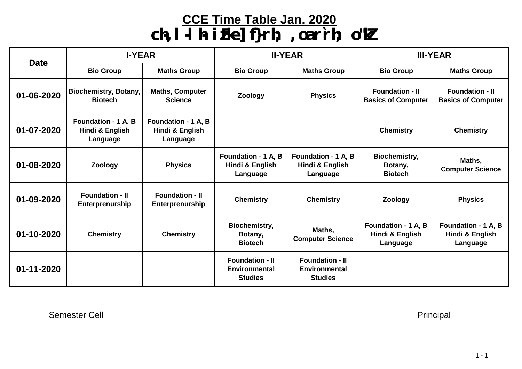#### **CCE Time Table Jan. 2020**

# **ch-,l-lh- izFke] f}rh; ,oa r`rh; o"kZ**

| <b>Date</b> | <b>I-YEAR</b>                                      |                                                    | <b>II-YEAR</b>                                                   |                                                           | <b>III-YEAR</b>                                     |                                                     |
|-------------|----------------------------------------------------|----------------------------------------------------|------------------------------------------------------------------|-----------------------------------------------------------|-----------------------------------------------------|-----------------------------------------------------|
|             | <b>Bio Group</b>                                   | <b>Maths Group</b>                                 | <b>Bio Group</b>                                                 | <b>Maths Group</b>                                        | <b>Bio Group</b>                                    | <b>Maths Group</b>                                  |
| 01-06-2020  | <b>Biochemistry, Botany,</b><br><b>Biotech</b>     | <b>Maths, Computer</b><br><b>Science</b>           | Zoology                                                          | <b>Physics</b>                                            | <b>Foundation - II</b><br><b>Basics of Computer</b> | <b>Foundation - II</b><br><b>Basics of Computer</b> |
| 01-07-2020  | Foundation - 1 A, B<br>Hindi & English<br>Language | Foundation - 1 A, B<br>Hindi & English<br>Language |                                                                  |                                                           | <b>Chemistry</b>                                    | <b>Chemistry</b>                                    |
| 01-08-2020  | Zoology                                            | <b>Physics</b>                                     | Foundation - 1 A, B<br>Hindi & English<br>Language               | Foundation - 1 A, B<br>Hindi & English<br>Language        | <b>Biochemistry,</b><br>Botany,<br><b>Biotech</b>   | Maths,<br><b>Computer Science</b>                   |
| 01-09-2020  | <b>Foundation - II</b><br>Enterprenurship          | <b>Foundation - II</b><br>Enterprenurship          | <b>Chemistry</b>                                                 | <b>Chemistry</b>                                          | <b>Zoology</b>                                      | <b>Physics</b>                                      |
| 01-10-2020  | <b>Chemistry</b>                                   | <b>Chemistry</b>                                   | <b>Biochemistry,</b><br>Botany,<br><b>Biotech</b>                | Maths,<br><b>Computer Science</b>                         | Foundation - 1 A, B<br>Hindi & English<br>Language  | Foundation - 1 A, B<br>Hindi & English<br>Language  |
| 01-11-2020  |                                                    |                                                    | <b>Foundation - II</b><br><b>Environmental</b><br><b>Studies</b> | <b>Foundation - II</b><br>Environmental<br><b>Studies</b> |                                                     |                                                     |

Semester Cell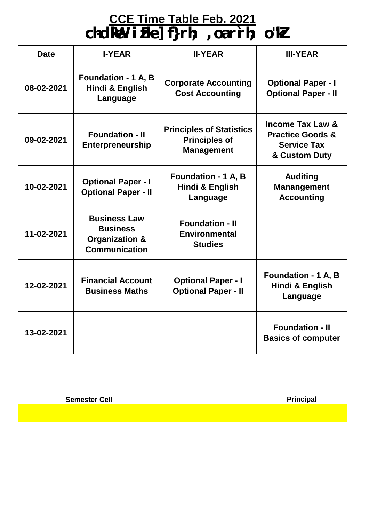#### **CCE Time Table Feb. 2021**

**ch-dkWe- izFke] f}rh; ,oa r`rh; o"kZ**

| <b>Date</b> | <b>I-YEAR</b>                                                                               | <b>II-YEAR</b>                                                               | <b>III-YEAR</b>                                                                                   |
|-------------|---------------------------------------------------------------------------------------------|------------------------------------------------------------------------------|---------------------------------------------------------------------------------------------------|
| 08-02-2021  | <b>Foundation - 1 A, B</b><br>Hindi & English<br>Language                                   | <b>Corporate Accounting</b><br><b>Cost Accounting</b>                        | <b>Optional Paper - I</b><br><b>Optional Paper - II</b>                                           |
| 09-02-2021  | <b>Foundation - II</b><br><b>Enterpreneurship</b>                                           | <b>Principles of Statistics</b><br><b>Principles of</b><br><b>Management</b> | <b>Income Tax Law &amp;</b><br><b>Practice Goods &amp;</b><br><b>Service Tax</b><br>& Custom Duty |
| 10-02-2021  | <b>Optional Paper - I</b><br><b>Optional Paper - II</b>                                     | <b>Foundation - 1 A, B</b><br><b>Hindi &amp; English</b><br>Language         | <b>Auditing</b><br><b>Manangement</b><br><b>Accounting</b>                                        |
| 11-02-2021  | <b>Business Law</b><br><b>Business</b><br><b>Organization &amp;</b><br><b>Communication</b> | <b>Foundation - II</b><br><b>Environmental</b><br><b>Studies</b>             |                                                                                                   |
| 12-02-2021  | <b>Financial Account</b><br><b>Business Maths</b>                                           | <b>Optional Paper - I</b><br><b>Optional Paper - II</b>                      | Foundation - 1 A, B<br>Hindi & English<br>Language                                                |
| 13-02-2021  |                                                                                             |                                                                              | <b>Foundation - II</b><br><b>Basics of computer</b>                                               |

**Semester Cell**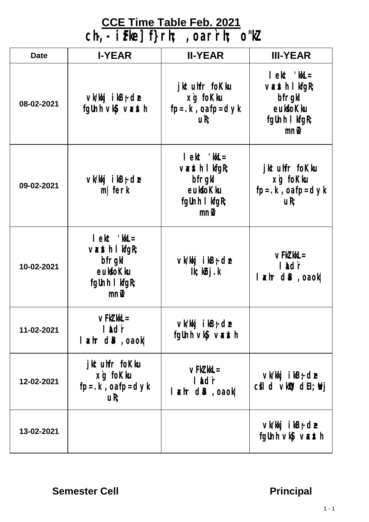#### **CCE Time Table Feb. 2021**

**ch-,- izFke] f}rh; ,oa r`rh; o"kZ**

| <b>Date</b> | <b>I-YEAR</b>                                                                                                                                                                                                                                                                                                                                                                                                                                     | <b>II-YEAR</b>                                                                                                                                                                                                                                                                                                                                                                                                                                    | <b>III-YEAR</b>                                                                        |
|-------------|---------------------------------------------------------------------------------------------------------------------------------------------------------------------------------------------------------------------------------------------------------------------------------------------------------------------------------------------------------------------------------------------------------------------------------------------------|---------------------------------------------------------------------------------------------------------------------------------------------------------------------------------------------------------------------------------------------------------------------------------------------------------------------------------------------------------------------------------------------------------------------------------------------------|----------------------------------------------------------------------------------------|
| 08-02-2021  | $\vee$ k/kkj ikB $\div$ de<br>fgUnh vký vaxsth                                                                                                                                                                                                                                                                                                                                                                                                    | jktuhfr foKku<br>xg foKku<br>$fp = k$ , oa $fp = dyk$<br>UR <sub>i</sub>                                                                                                                                                                                                                                                                                                                                                                          | $let$ ' $kL =$<br>$\vee$ xsth I kfgR;<br>bfrgkl<br>eukfoKku<br>fgUnh I kfgR;<br>mn     |
| 09-02-2021  | $\vee$ k/kkj ikB $\div$ de<br>$m$   ferk                                                                                                                                                                                                                                                                                                                                                                                                          | $let$ ' $kL =$<br>$\vee$ $\ltimes$ $\ltimes$ $\ltimes$ $\ltimes$ $\ltimes$ $\ltimes$ $\ltimes$ $\ltimes$ $\ltimes$ $\ltimes$ $\ltimes$ $\ltimes$ $\ltimes$ $\ltimes$ $\ltimes$ $\ltimes$ $\ltimes$ $\ltimes$ $\ltimes$ $\ltimes$ $\ltimes$ $\ltimes$ $\ltimes$ $\ltimes$ $\ltimes$ $\ltimes$ $\ltimes$ $\ltimes$ $\ltimes$ $\ltimes$ $\ltimes$ $\ltimes$ $\ltimes$ $\ltimes$ $\ltimes$ $\ltimes$<br>bfrgkl<br>eukfoKku<br>fgUnh I kfgR;<br>$m\nu$ | jktuhfr foKku<br>xg foKku<br>$fp = . k$ , oa $fp = dyk$<br>uR;                         |
| 10-02-2021  | $let$ ' $kL =$<br>$\vee$ $\ltimes$ $\ltimes$ $\ltimes$ $\ltimes$ $\ltimes$ $\ltimes$ $\ltimes$ $\ltimes$ $\ltimes$ $\ltimes$ $\ltimes$ $\ltimes$ $\ltimes$ $\ltimes$ $\ltimes$ $\ltimes$ $\ltimes$ $\ltimes$ $\ltimes$ $\ltimes$ $\ltimes$ $\ltimes$ $\ltimes$ $\ltimes$ $\ltimes$ $\ltimes$ $\ltimes$ $\ltimes$ $\ltimes$ $\ltimes$ $\ltimes$ $\ltimes$ $\ltimes$ $\ltimes$ $\ltimes$ $\ltimes$<br>bfrgkl<br>eukfoKku<br>fgUnh I kfgR;<br>$m\nu$ | $\vee$ k/kkj i kB $\div$ de<br>$lk; k$ bj.k                                                                                                                                                                                                                                                                                                                                                                                                       | $\vee$ FkZ kkL $=$<br>lidr<br>$ \star\rangle$ hr d $ \star\rangle$ , o $ \star\rangle$ |
| 11-02-2021  | $\vee$ FkZ kkL $=$<br>lidr<br>$  x \text{ hr}$ d $  B$ , o $  x  $                                                                                                                                                                                                                                                                                                                                                                                | $\vee$ k/kkj i kB $\div$ de<br>fgUnh vký vaxsth                                                                                                                                                                                                                                                                                                                                                                                                   |                                                                                        |
| 12-02-2021  | jktuhfr foKku<br>xg foKku<br>$fp = k$ , oa $fp = dyk$<br>uR;                                                                                                                                                                                                                                                                                                                                                                                      | $\vee$ FkZ kkL $=$<br>lildir<br> axhrdB,oaok                                                                                                                                                                                                                                                                                                                                                                                                      | $\vee$ k/kkj i kB $\div$ de<br>$cfI$ d $vkID$ dEI; $N$ j                               |
| 13-02-2021  |                                                                                                                                                                                                                                                                                                                                                                                                                                                   |                                                                                                                                                                                                                                                                                                                                                                                                                                                   | $\vee$ k/kkj i kB $\div$ de<br>fgUnh vký vasth                                         |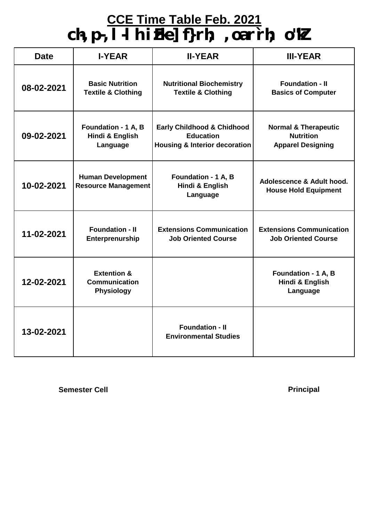## **CCE Time Table Feb. 2021 ch-,p-,l-lh izFke] f}rh; ,oa r`rh; o"kZ**

| <b>Date</b>                                                      | <b>I-YEAR</b>                                                       | <b>II-YEAR</b>                                                                                        | <b>III-YEAR</b>                                                                 |
|------------------------------------------------------------------|---------------------------------------------------------------------|-------------------------------------------------------------------------------------------------------|---------------------------------------------------------------------------------|
| 08-02-2021                                                       | <b>Basic Nutrition</b><br><b>Textile &amp; Clothing</b>             | <b>Nutritional Biochemistry</b><br><b>Textile &amp; Clothing</b>                                      | <b>Foundation - II</b><br><b>Basics of Computer</b>                             |
| Foundation - 1 A, B<br>09-02-2021<br>Hindi & English<br>Language |                                                                     | <b>Early Childhood &amp; Chidhood</b><br><b>Education</b><br><b>Housing &amp; Interior decoration</b> | <b>Normal &amp; Therapeutic</b><br><b>Nutrition</b><br><b>Apparel Designing</b> |
| 10-02-2021                                                       | <b>Human Development</b><br><b>Resource Management</b>              | Foundation - 1 A, B<br>Hindi & English<br>Language                                                    | Adolescence & Adult hood.<br><b>House Hold Equipment</b>                        |
| 11-02-2021                                                       | <b>Foundation - II</b><br>Enterprenurship                           | <b>Extensions Communication</b><br><b>Job Oriented Course</b>                                         | <b>Extensions Communication</b><br><b>Job Oriented Course</b>                   |
| 12-02-2021                                                       | <b>Extention &amp;</b><br><b>Communication</b><br><b>Physiology</b> |                                                                                                       | Foundation - 1 A, B<br>Hindi & English<br>Language                              |
| 13-02-2021                                                       |                                                                     | <b>Foundation - II</b><br><b>Environmental Studies</b>                                                |                                                                                 |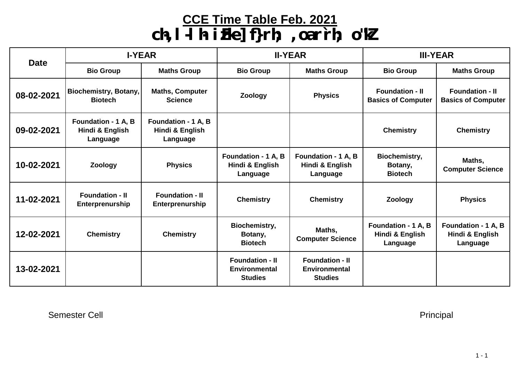#### **CCE Time Table Feb. 2021**

# **ch-,l-lh- izFke] f}rh; ,oa r`rh; o"kZ**

| <b>Date</b> | <b>I-YEAR</b>                                      |                                                    | <b>II-YEAR</b>                                                   |                                                                  | <b>III-YEAR</b>                                     |                                                     |
|-------------|----------------------------------------------------|----------------------------------------------------|------------------------------------------------------------------|------------------------------------------------------------------|-----------------------------------------------------|-----------------------------------------------------|
|             | <b>Bio Group</b>                                   | <b>Maths Group</b>                                 | <b>Bio Group</b>                                                 | <b>Maths Group</b>                                               | <b>Bio Group</b>                                    | <b>Maths Group</b>                                  |
| 08-02-2021  | Biochemistry, Botany,<br><b>Biotech</b>            | <b>Maths, Computer</b><br><b>Science</b>           | <b>Zoology</b>                                                   | <b>Physics</b>                                                   | <b>Foundation - II</b><br><b>Basics of Computer</b> | <b>Foundation - II</b><br><b>Basics of Computer</b> |
| 09-02-2021  | Foundation - 1 A, B<br>Hindi & English<br>Language | Foundation - 1 A, B<br>Hindi & English<br>Language |                                                                  |                                                                  | <b>Chemistry</b>                                    | <b>Chemistry</b>                                    |
| 10-02-2021  | <b>Zoology</b>                                     | <b>Physics</b>                                     | Foundation - 1 A, B<br>Hindi & English<br>Language               | Foundation - 1 A, B<br>Hindi & English<br>Language               | Biochemistry,<br>Botany,<br><b>Biotech</b>          | Maths,<br><b>Computer Science</b>                   |
| 11-02-2021  | <b>Foundation - II</b><br>Enterprenurship          | <b>Foundation - II</b><br>Enterprenurship          | <b>Chemistry</b>                                                 | <b>Chemistry</b>                                                 | Zoology                                             | <b>Physics</b>                                      |
| 12-02-2021  | <b>Chemistry</b>                                   | <b>Chemistry</b>                                   | <b>Biochemistry,</b><br>Botany,<br><b>Biotech</b>                | Maths,<br><b>Computer Science</b>                                | Foundation - 1 A, B<br>Hindi & English<br>Language  | Foundation - 1 A, B<br>Hindi & English<br>Language  |
| 13-02-2021  |                                                    |                                                    | <b>Foundation - II</b><br><b>Environmental</b><br><b>Studies</b> | <b>Foundation - II</b><br><b>Environmental</b><br><b>Studies</b> |                                                     |                                                     |

Semester Cell